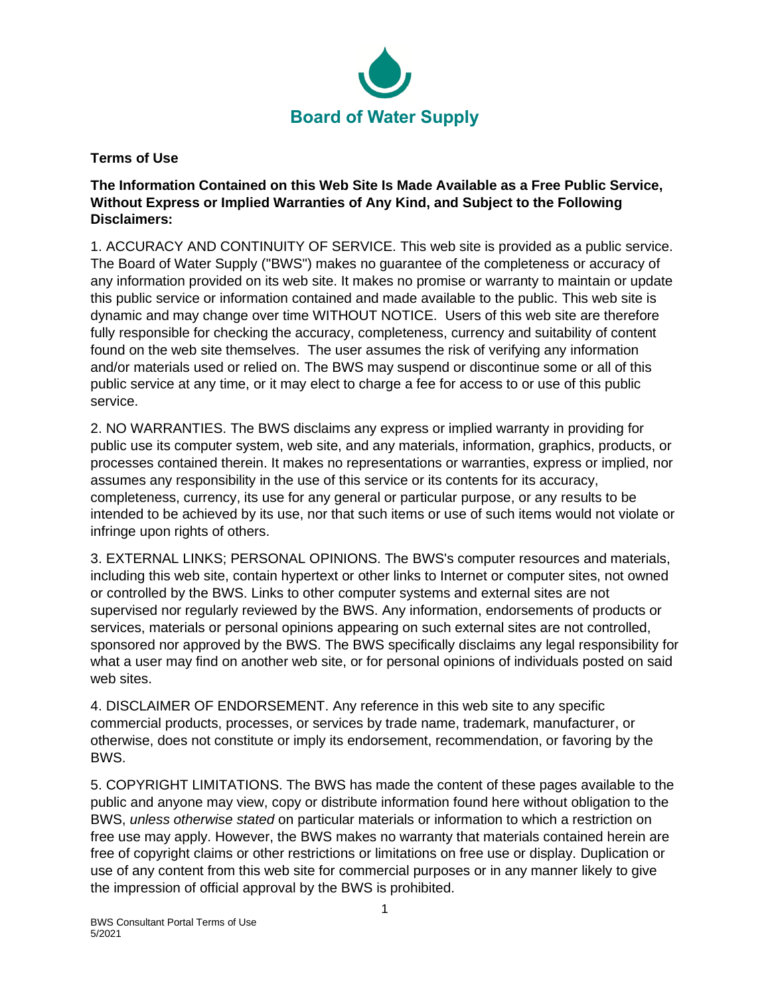

**Terms of Use**

**The Information Contained on this Web Site Is Made Available as a Free Public Service, Without Express or Implied Warranties of Any Kind, and Subject to the Following Disclaimers:**

1. ACCURACY AND CONTINUITY OF SERVICE. This web site is provided as a public service. The Board of Water Supply ("BWS") makes no guarantee of the completeness or accuracy of any information provided on its web site. It makes no promise or warranty to maintain or update this public service or information contained and made available to the public. This web site is dynamic and may change over time WITHOUT NOTICE. Users of this web site are therefore fully responsible for checking the accuracy, completeness, currency and suitability of content found on the web site themselves. The user assumes the risk of verifying any information and/or materials used or relied on. The BWS may suspend or discontinue some or all of this public service at any time, or it may elect to charge a fee for access to or use of this public service.

2. NO WARRANTIES. The BWS disclaims any express or implied warranty in providing for public use its computer system, web site, and any materials, information, graphics, products, or processes contained therein. It makes no representations or warranties, express or implied, nor assumes any responsibility in the use of this service or its contents for its accuracy, completeness, currency, its use for any general or particular purpose, or any results to be intended to be achieved by its use, nor that such items or use of such items would not violate or infringe upon rights of others.

3. EXTERNAL LINKS; PERSONAL OPINIONS. The BWS's computer resources and materials, including this web site, contain hypertext or other links to Internet or computer sites, not owned or controlled by the BWS. Links to other computer systems and external sites are not supervised nor regularly reviewed by the BWS. Any information, endorsements of products or services, materials or personal opinions appearing on such external sites are not controlled, sponsored nor approved by the BWS. The BWS specifically disclaims any legal responsibility for what a user may find on another web site, or for personal opinions of individuals posted on said web sites.

4. DISCLAIMER OF ENDORSEMENT. Any reference in this web site to any specific commercial products, processes, or services by trade name, trademark, manufacturer, or otherwise, does not constitute or imply its endorsement, recommendation, or favoring by the BWS.

5. COPYRIGHT LIMITATIONS. The BWS has made the content of these pages available to the public and anyone may view, copy or distribute information found here without obligation to the BWS, *unless otherwise stated* on particular materials or information to which a restriction on free use may apply. However, the BWS makes no warranty that materials contained herein are free of copyright claims or other restrictions or limitations on free use or display. Duplication or use of any content from this web site for commercial purposes or in any manner likely to give the impression of official approval by the BWS is prohibited.